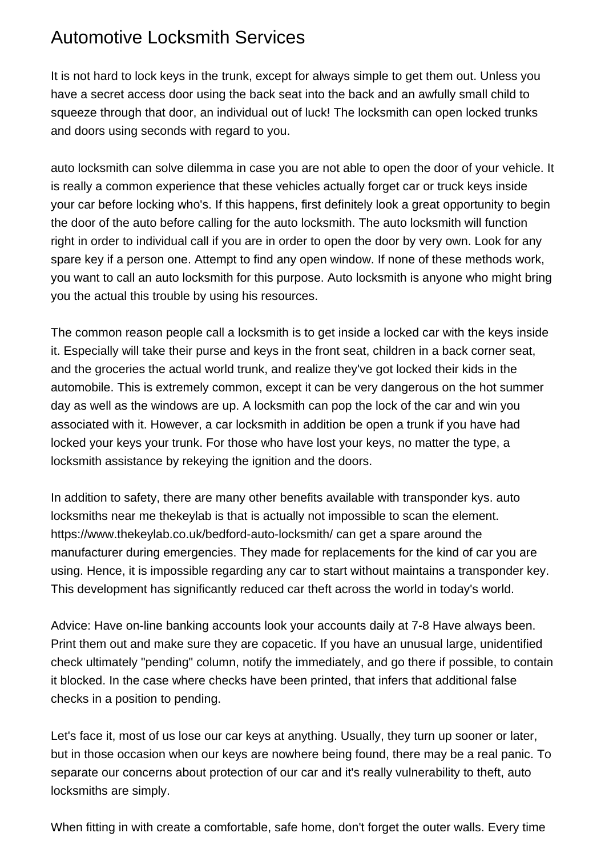## Automotive Locksmith Services

It is not hard to lock keys in the trunk, except for always simple to get them out. Unless you have a secret access door using the back seat into the back and an awfully small child to squeeze through that door, an individual out of luck! The locksmith can open locked trunks and doors using seconds with regard to you.

auto locksmith can solve dilemma in case you are not able to open the door of your vehicle. It is really a common experience that these vehicles actually forget car or truck keys inside your car before locking who's. If this happens, first definitely look a great opportunity to begin the door of the auto before calling for the auto locksmith. The auto locksmith will function right in order to individual call if you are in order to open the door by very own. Look for any spare key if a person one. Attempt to find any open window. If none of these methods work, you want to call an auto locksmith for this purpose. Auto locksmith is anyone who might bring you the actual this trouble by using his resources.

The common reason people call a locksmith is to get inside a locked car with the keys inside it. Especially will take their purse and keys in the front seat, children in a back corner seat, and the groceries the actual world trunk, and realize they've got locked their kids in the automobile. This is extremely common, except it can be very dangerous on the hot summer day as well as the windows are up. A locksmith can pop the lock of the car and win you associated with it. However, a car locksmith in addition be open a trunk if you have had locked your keys your trunk. For those who have lost your keys, no matter the type, a locksmith assistance by rekeying the ignition and the doors.

In addition to safety, there are many other benefits available with transponder kys. [auto](https://www.thekeylab.co.uk/wellingborough-auto-locksmith/) [locksmiths near me thekeylab](https://www.thekeylab.co.uk/wellingborough-auto-locksmith/) is that is actually not impossible to scan the element. <https://www.thekeylab.co.uk/bedford-auto-locksmith/> can get a spare around the manufacturer during emergencies. They made for replacements for the kind of car you are using. Hence, it is impossible regarding any car to start without maintains a transponder key. This development has significantly reduced car theft across the world in today's world.

Advice: Have on-line banking accounts look your accounts daily at 7-8 Have always been. Print them out and make sure they are copacetic. If you have an unusual large, unidentified check ultimately "pending" column, notify the immediately, and go there if possible, to contain it blocked. In the case where checks have been printed, that infers that additional false checks in a position to pending.

Let's face it, most of us lose our car keys at anything. Usually, they turn up sooner or later, but in those occasion when our keys are nowhere being found, there may be a real panic. To separate our concerns about protection of our car and it's really vulnerability to theft, auto locksmiths are simply.

When fitting in with create a comfortable, safe home, don't forget the outer walls. Every time